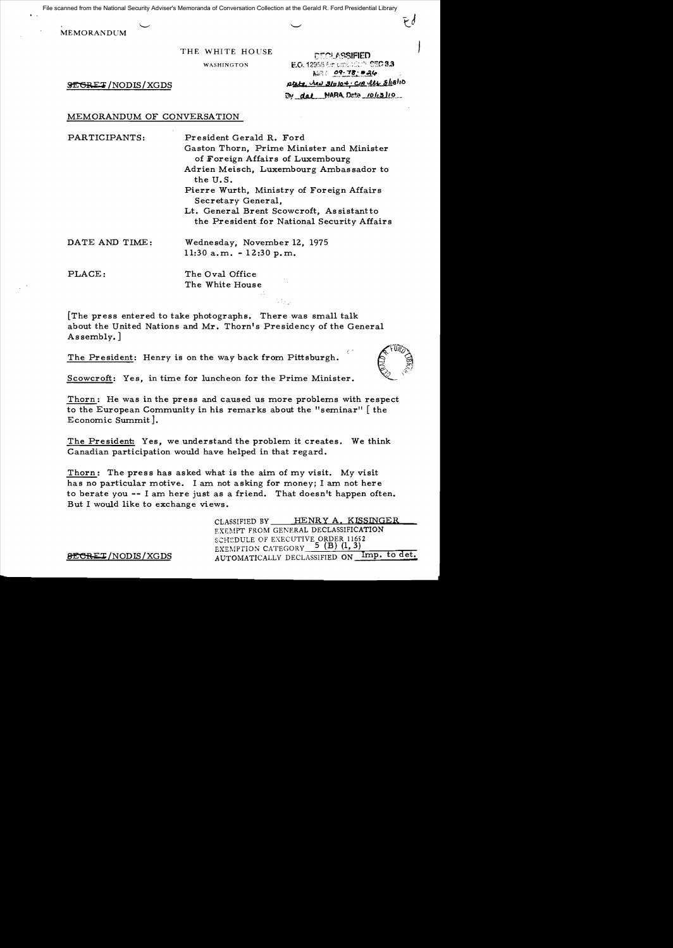File scanned from the National Security Adviser's Memoranda of Conversation Collection at the Gerald R. Ford Presidential Library

MEMORANDUM

THE WHITE HOUSE CEOLASSIFIED

WASHINGTON **E.O.** 12958 for emerged **SEC 3.3**  $N=$  09-78  $*$ .  $\frac{1}{2E\text{CRET}}$ /NODIS/XGDS  $\frac{\rho_{LLL} \text{A}}{2 \text{m} \rho^2}$ By dal NARA, Dete <u>10113/10</u>

# MEMORANDUM OF CONVERSATION

PARTICIPANTS: President Gerald R. Ford

Gaston Thorn, Prime Minister and Minister of Foreign Affairs of Luxembourg Adrien Meisch, Luxembourg Ambas sador to the U. S. Pierre Wurth, Ministry of Foreign Affairs Secretary General, Lt. General Brent Scowcroft, Assistantto the President for National Security Affairs

DATE AND TIME: Wednesday, November 12, 1975 11:30 a.m. -12:30p.m.

PLACE: The Oval Office The White House

[The press entered to take photographs. There was small talk about the United Nations and Mr. Thorn's Presidency of the General Assembly. ]

The President: Henry is on the way back from Pittsburgh.



Scowcroft: Yes, in time for luncheon for the Prime Minister.

Thorn: He was in the press and caused us more problems with respect to the European Community in his remarks about the "seminar" [ the Economic Summit].

The President: Yes, we understand the problem it creates. We think Canadian participation would have helped in that regard.

Thorn: The press has asked what is the aim of my visit. My visit has no particular motive. I am not asking for money; I am not here to berate you **--** I am here just as a friend. That doesn't happen often. But I would like to exchange views.

CLASSIFIED BY HENRY A, KISSINGER EXEMPT FROM GENERAL DECLASSIFICATION SCHEDULE OF EXECUTIVE ORDER 11652 EXEMPTION CATEGORY 5 (B) (1,3) 8ECRET/NODIS/XGDS AUTOMATICALLY DECLASSIFIED ON Imp. to det.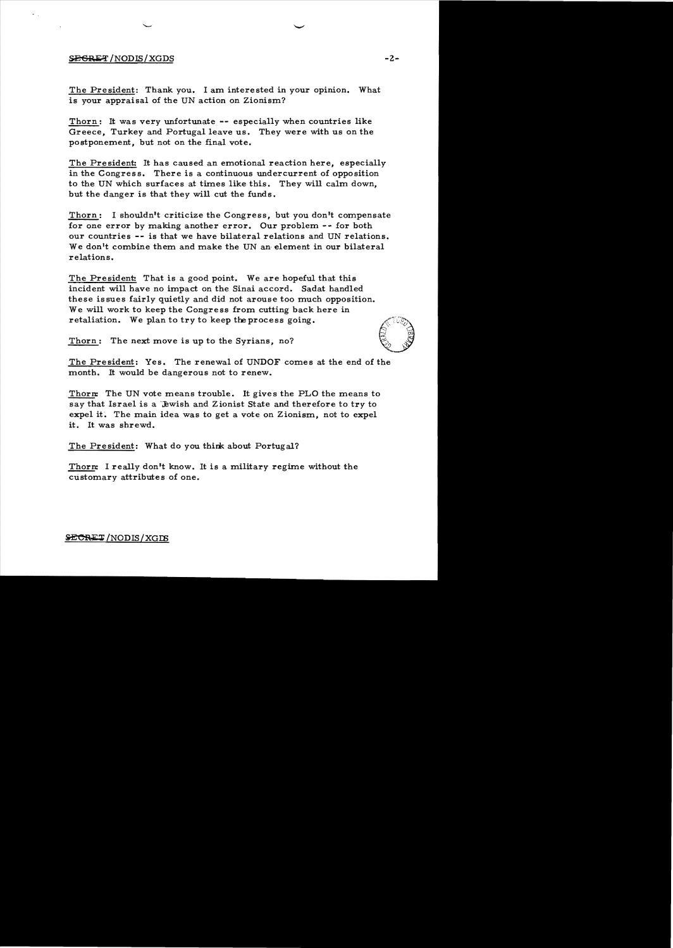## $S$ <del>EGRET</del>/NODIS/XGDS -2-

The President: Thank you. I am interested in your opinion. What is your appraisal of the UN action on Zionism?

Thorn: It was very unfortunate **--** especially when countries like Greece, Turkey and Portugal leave us. They were with us on the postponement, but not on the final vote.

The President: It has caused an emotional reaction here, especially in the Congress. There is a continuous undercurrent of opposition to the UN which surfaces at times like this. They will calm down, but the danger is that they will cut the funds.

Thorn: I shouldn't criticize the Congress, but you don't compensate for one error by making another error. Our problem -- for both our countries **--** is that we have bilateral relations and UN relations. We don't combine them and make the UN an element in our bilateral relations.

The President: That is a good point. We are hopeful that this incident will have no impact on the Sinai accord. Sadat handled these is sues fairly quietly and did not arouse too much opposition. We will work to keep the Congress from cutting back here in retaliation. We plan to try to keep the process going.

Thorn: The next move is up to the Syrians, no?

The President: Yes. The renewal of UNDOF comes at the end of the month. It would be dangerous not to renew.

Thorn: The UN vote means trouble. It gives the PLO the means to say that Israel is a 'Jewish and Zionist State and therefore to try to expel it. The main idea was to get a vote on Zionism, not to expel it. It was shrewd.

The President: What do you think about Portugal?

Thorn: I really don't know. It is a military regime without the customary attributes of one.

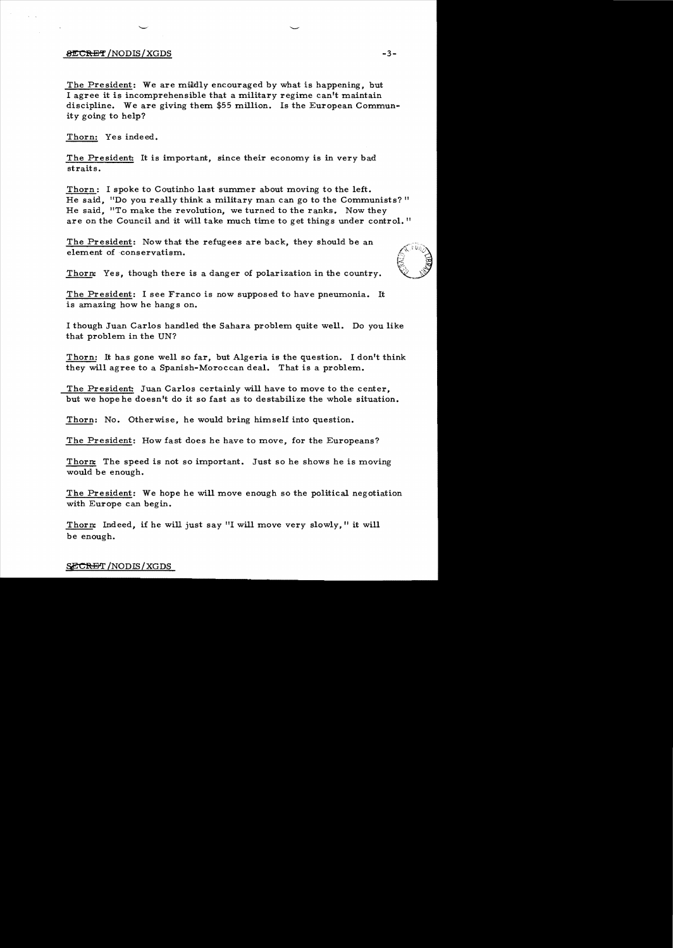## /NODIS/XGDS **-3**

The President: We are mildly encouraged by what is happening, but I agree it is incomprehensible that a military regime can't maintain discipline. We are giving them \$55 million. Is the European Commun ity going to help?

Thorn: Yes indeed.

The President: It is important, since their economy is in very bad straits.

Thorn: I spoke to Coutinho last summer about moving to the left. He said. "Do you really think a military man can go to the Communists?" He said. "To make the revolution, we turned to the ranks. Now they are on the Council and it will take much time to get things under control. "

The President: Now that the refugees are back, they should be an element of conservatism.



Thorn: Yes, though there is a danger of polarization in the country.

The President: I see Franco is now supposed to have pneumonia. It is amazing how he hangs on.

I though Juan Carlos handled the Sahara problem quite well. Do you like that problem in the UN?

Thorn: It has gone well so far, but Algeria is the question. I don't think they will agree to a Spanish-Moroccan deal. That is a problem.

The President: Juan Carlos certainly will have to move to the center, but we hope he doesn't do it so fast as to destabilize the whole situation.

Thorn: No. Otherwise, he would bring himself into question.

The President: How fast does he have to move, for the Europeans?

Thorn: The speed is not so important. Just so he shows he is moving would be enough.

The President: We hope he will move enough so the political negotiation with Europe can begin.

Thorn: Indeed, if he will just say "I will move very slowly," it will be enough.

## SECRET/NODIS/XGDS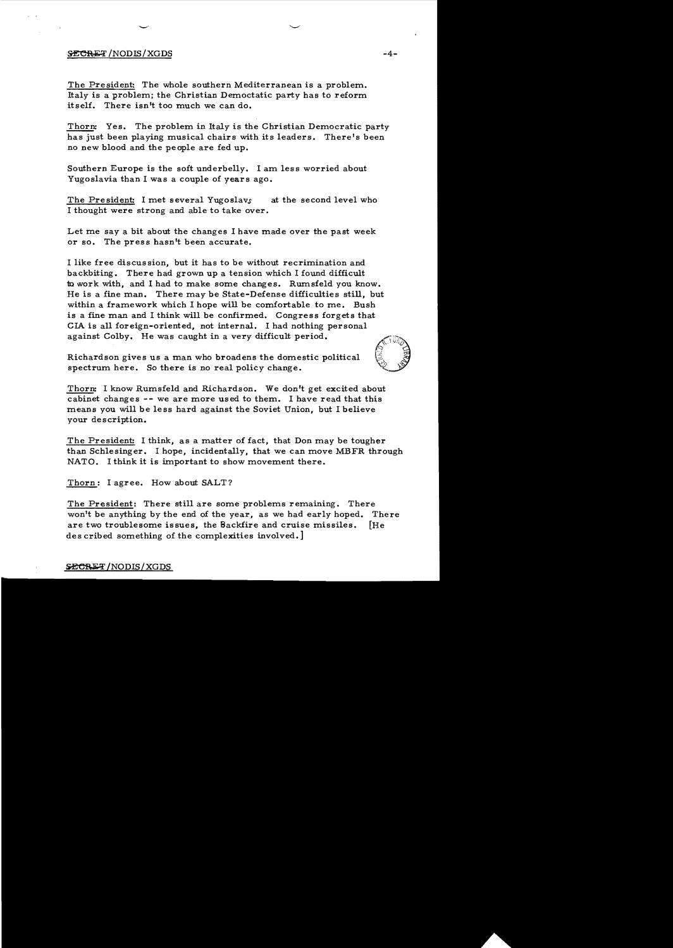#### $\frac{1}{2}$  /NODIS/XGDS  $\frac{1}{4}$

The President: The whole southern Mediterranean is a problem. Italy is a problem; the Christian Democtatic party has to reform itself. There isn't too much we can do.

Thorn: Yes. The problem in Italy is the Christian Democratic party has just been playing musical chairs with its leaders. There's been no new blood and the people are fed up.

Southern Europe is the soft underbelly. I am less worried about Yugoslavia than I was a couple of years ago.

The President: I met several Yugoslavs at the second level who I thought were strong and able to take over.

Let me say a bit about the changes I have made over the past week or so. The press hasn't been accurate.

I like free discussion, but it has to be without recrimination and backbiting. There had grown up a tension which I found difficult 10 work with, and I had to make some changes. Rumsfeld you know. He is a fine man. There may be State-Defense difficulties still, but within a framework which I hope will be comfortable to me. Bush is a fine man and I think will be confirmed. Congress forgets that CIA is all foreign-oriented, not internal. I had nothing personal against Colby. He was caught in a very difficult period.

Richardson gives us a man who broadens the domestic political spectrum here. So there is no real policy change.

Thorn: I know Rumsfeld and Richardson. We don't get excited about cabinet changes -- we are more used to them. I have read that this means you will be less hard against the Soviet Union, but I believe your description.

The President: I think, as a matter of fact, that Don may be tougher than Schlesinger. I hope, incidentally, that we can move MBFR through NATO. I think it is important to show movement there.

Thorn: I agree. How about SALT?

The President: There still are some problems remaining. There won't be anything by the end of the year, as we had early hoped. There are two troublesome issues, the Backfire and cruise missiles. [He des cribed something of the complexities involved.]

#### **SECRET/NODIS/XGDS**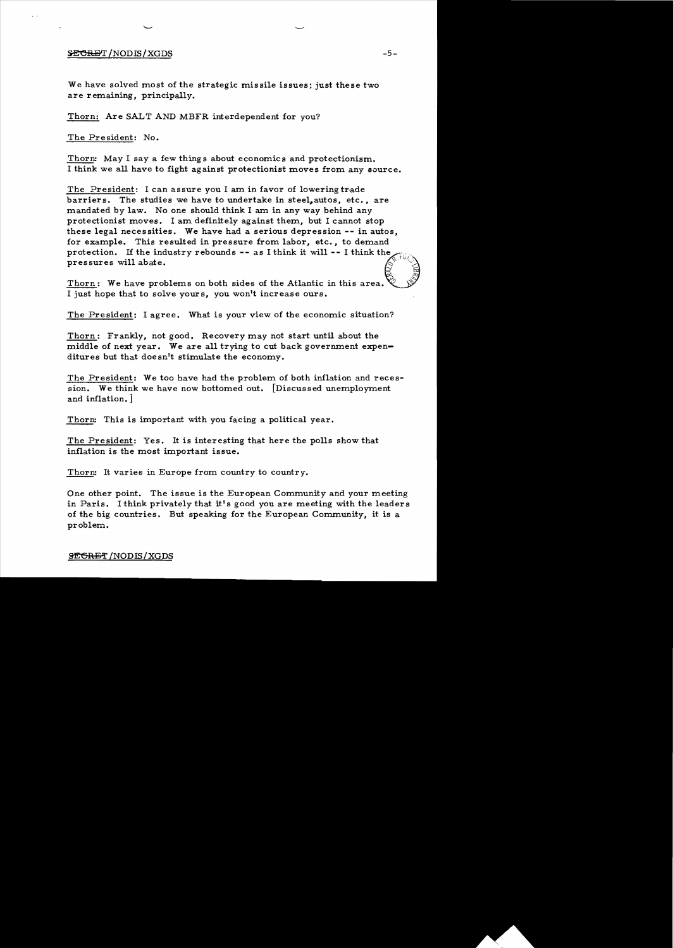## $\frac{1}{2}$   $\frac{1}{2}$   $\frac{1}{2}$   $\frac{1}{2}$   $\frac{1}{2}$   $\frac{1}{2}$   $\frac{1}{2}$   $\frac{1}{2}$   $\frac{1}{2}$   $\frac{1}{2}$   $\frac{1}{2}$   $\frac{1}{2}$   $\frac{1}{2}$   $\frac{1}{2}$   $\frac{1}{2}$   $\frac{1}{2}$   $\frac{1}{2}$   $\frac{1}{2}$   $\frac{1}{2}$   $\frac{1}{2}$   $\frac{1}{2}$   $\frac{1}{2}$

We have solved most of the strategic missile issues; just these two are remaining, principally.

Thorn: Are SALT AND MBFR interdependent for you?

The President: No.

Thorn! May I say a few things about economics and protectionism. I think we all have to fight against protectionist moves from any source.

The President: I can assure you I am in favor of lowering trade barriers. The studies we have to undertake in steel,autos, etc., are mandated by law. No one should think I am in any way behind any protectionist moves. I am definitely against them, but I cannot stop these legal necessities. We have had a serious depression **--** in autos, for example. This resulted in pressure from labor, etc., to demand protection. If the industry rebounds -- as I think it will -- I think the pressures will abate.

Thorn: We have problems on both sides of the Atlantic in this area. I just hope that to solve yours, you won't increase ours.

The President: I agree. What is your view of the economic situation?

Thorn: Frankly, not good. Recovery may not start until about the middle of next year. We are all trying to cut back government expenditures but that doesn't stimulate the economy.

The President: We too have had the problem of both inflation and recession. We think we have now bottomed out. [Discussed unemployment and inflation.]

Thorn! This is important with you facing a political year.

The President: Yes. It is interesting that here the polls show that inflation is the most important issue.

Thorn: It varies in Europe from country to country.

One other point. The issue is the European Community and your meeting in Paris. I think privately that it's good you are meeting with the leaders of the big countries. But speaking for the European Community, it is a problem.

#### SEGRET/NODIS/XGDS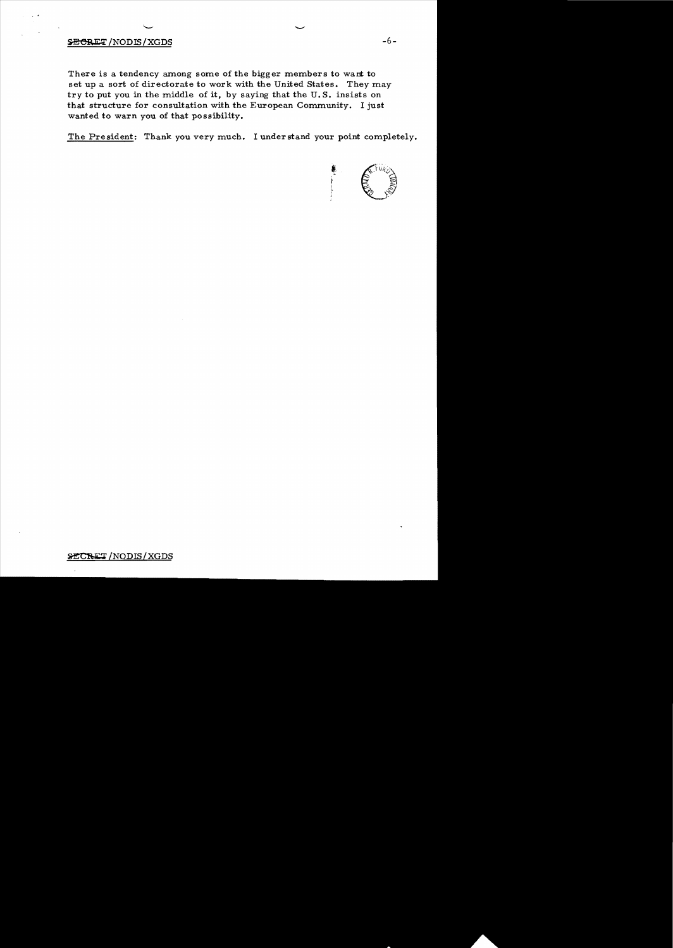## $SECRET/NODIS/XGDS$   $-6-$

There is a tendency among some of the bigger members to want to set up a sort of directorate to work with the United States. They may try to put you in the middle of it, by saying that the U.S. insists on that structure for consultation with the European Community. I just wanted to warn you of that possibility.

The President: Thank you very much. I understand your point completely.

 $\overline{\phantom{a}}$ 



## SECRET/NODIS/XGDS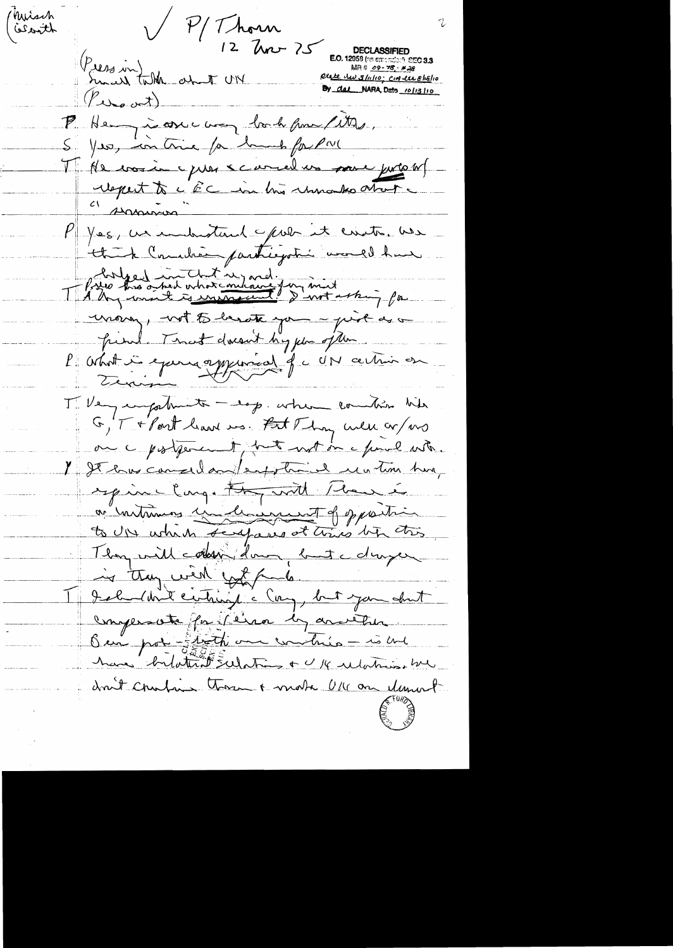Kuisch Press in Julk and UN Rosen thered **E.O.** 12958 (se entertain) SEC 3.3<br>MR # <u>09 - 76 - #28</u> Riete des 3/1110; CIA lu 8/18/10 By dal NARA, Deto 10/13/10  $(f_{\omega_{\bullet}\omega})$ P. Henry is one way book from fitter. S. Yes, in this for hands for Pr. Mr voien puis carred un pour jurois report to i EC in this remarks atout "Annivor P/ Yes, us industant pour it evats use think Concilient participation would have file tre après est injoind.<br>A tre model es université d'une mot artin, pa moin, not to benote you - pixe de a friend. That doesn't hig for often. l'abot in exemploied fu UN action en Tilley unpoliments - exp. when commition his G, T + Port leave us. Fut Thy well or ws on a postponent, but not on a final with. 1 It has considerate phone is un time hung sepine large they with there is a untaining underwant of pastic to up which scrapairs at this by this They will colon down, but a dropen is they went you be I I solution entirely a Cong, but you shut compensate for lena by another Ben pot - Thath are writing - is and have bytatent substitut et allations droit contain thorn + mote Uk on element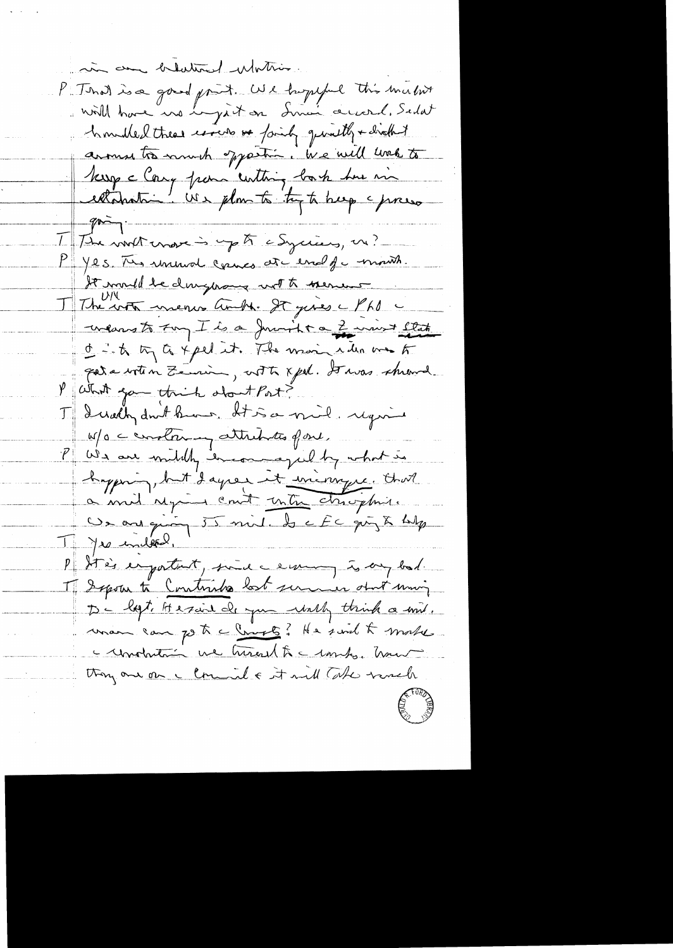in an blattered Mothis P : That is a good print. We hopeful this maint hombled these words or faity quality + droth! arous to much sparting, we will look to Keep clang pour centing book her m extandant " We plan to try to beg a press  $q_{\overrightarrow{m}}$ 1 The world crosses up to a Syricus, on? P Yes. The rememore comes at end of mouth. It mould be dury nous not to menus wears to try I is a Junit ca 2 mint llat of into the carpel it. The main run me to para with n Zemin, with xpd. Stwas shrowd. P What you think shout Port? I Dudly don't know, It is a mil. require W/o construmy attributes of one. P We are witchly incomegally what is hypning, but days it iningre. that Un ans quing 55 mil. Se EC quy & hulp I Jes indeed. P Stein engatent, since ceremony is any bad. I Sepour to Continues lost summer obout moin De logt Aresaine de que unly think a mil. man can go to a Cruste? He sould to make a undrition we turned to combat hours thong and on a comment & it will take worsch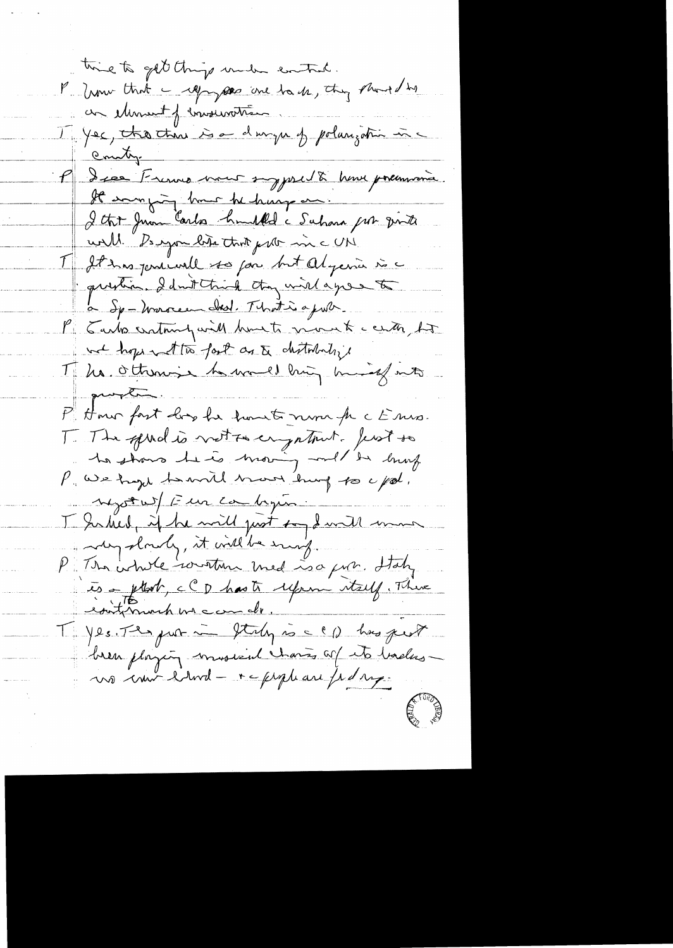time to get things under control. P. how that I repayses are back, they should be an element of conservation J Yec, the thin is a danger of polarization in P dies Frenne vous sypocht nous premiers. It was juing hours he hanged. I that Juan Carlos humbled a Suhara par vinte well. De espoint liste that prite min c UN. I It ins positivité ses pour but Algebra vi a question I drittend they will agree to a Sp-Warren Ind. That is a just P . Tarks cratainly will have to more to center, ho we hope with fast as to chitrhaly Mila ottoms in march hing mind mits question P. Hour fast hope he houst noon fr c Ens. T The spiral is vette en patriot. Jest so la stans le co moin mel de burg P we hap to write how hung to upol. negot wit Eur cambigun. I Saked, if he will just soy I will want any slowly, it will be surely. P The whole written med is a gun. Italy editiment me can de. Tyles The put in Italy is a CD has pest bren physiq musical chans of its badasno imi blond - + c prophase fed sup-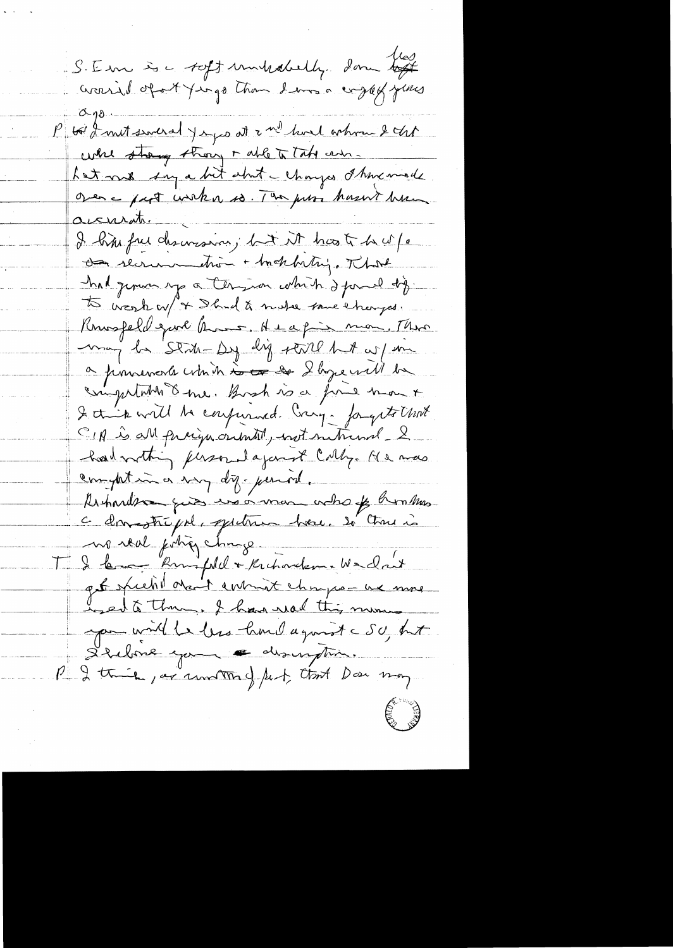S. Em à c toff unhabily don togt P to I met several y e geo at a nº houl ochran & that while strang though all to take and. hat me say a bit about - changes I knowinds Over a part unkn so. The poor hasn't have accuration in the I him free descovesion; but it has to be w/a as recrumention + habethy. That had genus up a termina which I formed dig. to weak w/ + Ihad & make some changes. Knowsfeld gave Amos, Heapin mon, Three may be State by dig stall hat w/ m a poursements which is the 2 by earl be computation & me. Bosh is a fine mont I this will be confurmed ving- forgets that CIA is all praign originately with metricial & had nothing personal against Cally. He was compatin a voy dy-period. Arhardson ques una orman ordro of hommas c donstrépil, spitren bou. Si Charie no real poting change. Il le might + Kritwikme Wedn't  $\prod_{i=1}^{n}$ get specht de 1 commet chaps - un more used to thing, I have need this min you will be been lamed a good a SU, but Stelone you a discription. P I think, as another of fect, that Doe may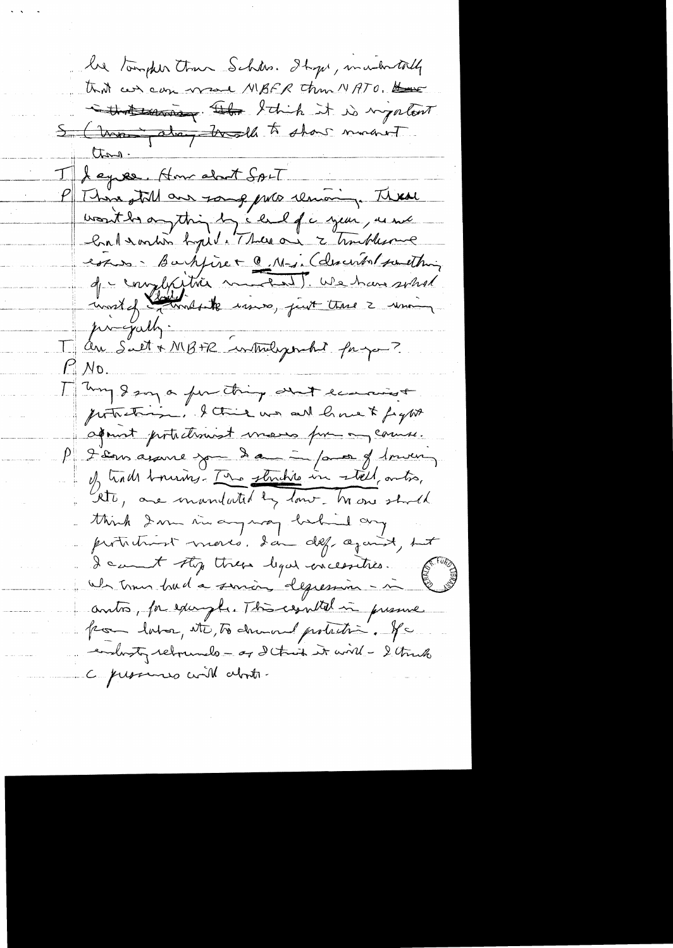he tougher than Schan. It get, in when tolly that can can wave MBFR than MATO. that survey. The I think it is nightent 5 (trong along trade to show morent than. Leyrer, How about SALT P There still are some puts removing. These voutbrangthing by child of a year, une Contemption by it. There are a troubleme essus - Bartyire + @ M-in (describat something de complaition metal ! We have soled prograth. J'au Suet + MB+R intuligement faigur?  $11$ No. I my gan a function and ecanose portretion. I this was all have to fight aquint pirtuetissiment masses pour any course. P 2 ans avance jou dans par 9, moi I trade tournes. The structure in stell, antre, think I m in any way behind any prototrant mores, dan def against, but I cannot sty threw legal enceeraties. We trous bud a suriou depression - in anto, for example. This exhibit in pressure por lator, etc, to demand probabin. Je endorsty relevando - or d'thout it will - I think C pressures will about.